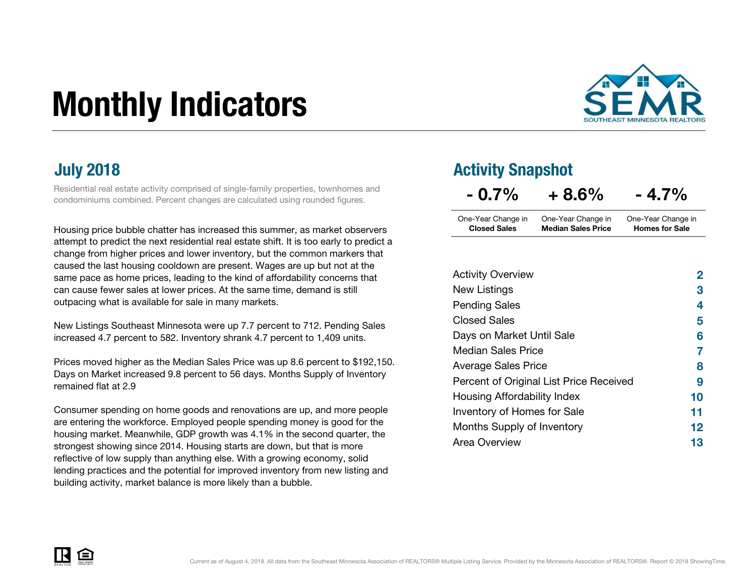# Monthly Indicators



Residential real estate activity comprised of single-family properties, townhomes and condominiums combined. Percent changes are calculated using rounded figures.

Housing price bubble chatter has increased this summer, as market observers attempt to predict the next residential real estate shift. It is too early to predict a change from higher prices and lower inventory, but the common markers that caused the last housing cooldown are present. Wages are up but not at the same pace as home prices, leading to the kind of affordability concerns that can cause fewer sales at lower prices. At the same time, demand is still outpacing what is available for sale in many markets.

New Listings Southeast Minnesota were up 7.7 percent to 712. Pending Sales increased 4.7 percent to 582. Inventory shrank 4.7 percent to 1,409 units.

Prices moved higher as the Median Sales Price was up 8.6 percent to \$192,150. Days on Market increased 9.8 percent to 56 days. Months Supply of Inventory remained flat at 2.9

Consumer spending on home goods and renovations are up, and more people are entering the workforce. Employed people spending money is good for the housing market. Meanwhile, GDP growth was 4.1% in the second quarter, the strongest showing since 2014. Housing starts are down, but that is more reflective of low supply than anything else. With a growing economy, solid lending practices and the potential for improved inventory from new listing and building activity, market balance is more likely than a bubble.

### **July 2018 Activity Snapshot**

| $-0.7\%$            | $+8.6%$                   | $-4.7\%$              |
|---------------------|---------------------------|-----------------------|
| One-Year Change in  | One-Year Change in        | One-Year Change in    |
| <b>Closed Sales</b> | <b>Median Sales Price</b> | <b>Homes for Sale</b> |

| <b>Activity Overview</b>                | $\mathbf{2}$ |
|-----------------------------------------|--------------|
| New Listings                            | 3            |
| <b>Pending Sales</b>                    | 4            |
| <b>Closed Sales</b>                     | 5            |
| Days on Market Until Sale               | 6            |
| <b>Median Sales Price</b>               | 7            |
| <b>Average Sales Price</b>              | 8            |
| Percent of Original List Price Received | 9            |
| Housing Affordability Index             | 10           |
| Inventory of Homes for Sale             | 11           |
| Months Supply of Inventory              | 12           |
| Area Overview                           | 13           |

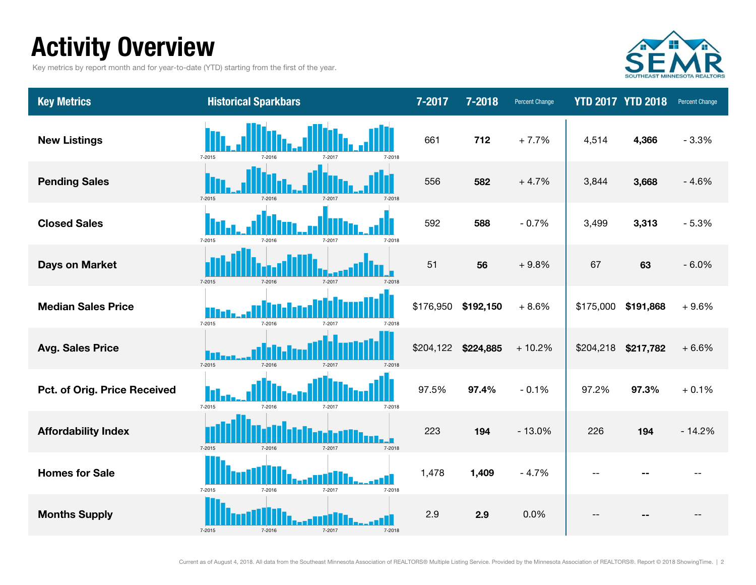### Activity Overview

Key metrics by report month and for year-to-date (YTD) starting from the first of the year.



| <b>Key Metrics</b>           | <b>Historical Sparkbars</b>              | 7-2017    | 7-2018    | <b>Percent Change</b> |           | <b>YTD 2017 YTD 2018</b> | Percent Change |
|------------------------------|------------------------------------------|-----------|-----------|-----------------------|-----------|--------------------------|----------------|
| <b>New Listings</b>          | 7-2015<br>7-2018<br>7-2016               | 661       | 712       | $+7.7%$               | 4,514     | 4,366                    | $-3.3%$        |
| <b>Pending Sales</b>         | $7 - 2015$<br>7-2016<br>7-2017<br>7-2018 | 556       | 582       | $+4.7%$               | 3,844     | 3,668                    | $-4.6%$        |
| <b>Closed Sales</b>          | 7-2015<br>7-2017<br>7-2016<br>7-2018     | 592       | 588       | $-0.7%$               | 3,499     | 3,313                    | $-5.3%$        |
| <b>Days on Market</b>        | 7-2015<br>7-2016<br>7-2017<br>7-2018     | 51        | 56        | $+9.8%$               | 67        | 63                       | $-6.0%$        |
| <b>Median Sales Price</b>    | 7-2015<br>7-2016<br>7-2017<br>7-2018     | \$176,950 | \$192,150 | $+8.6%$               | \$175,000 | \$191,868                | $+9.6%$        |
| <b>Avg. Sales Price</b>      | $7 - 2015$<br>7-2016<br>7-2017<br>7-2018 | \$204,122 | \$224,885 | $+10.2%$              | \$204,218 | \$217,782                | $+6.6%$        |
| Pct. of Orig. Price Received | 7-2015<br>7-2016<br>7-2017<br>7-2018     | 97.5%     | 97.4%     | $-0.1%$               | 97.2%     | 97.3%                    | $+0.1%$        |
| <b>Affordability Index</b>   | $7 - 2015$<br>7-2016<br>7-2017<br>7-2018 | 223       | 194       | $-13.0%$              | 226       | 194                      | $-14.2%$       |
| <b>Homes for Sale</b>        | 7-2015<br>7-2017<br>7-2016<br>7-2018     | 1,478     | 1,409     | $-4.7%$               |           |                          |                |
| <b>Months Supply</b>         | 7-2015<br>7-2016<br>7-2017<br>7-2018     | 2.9       | 2.9       | 0.0%                  |           |                          |                |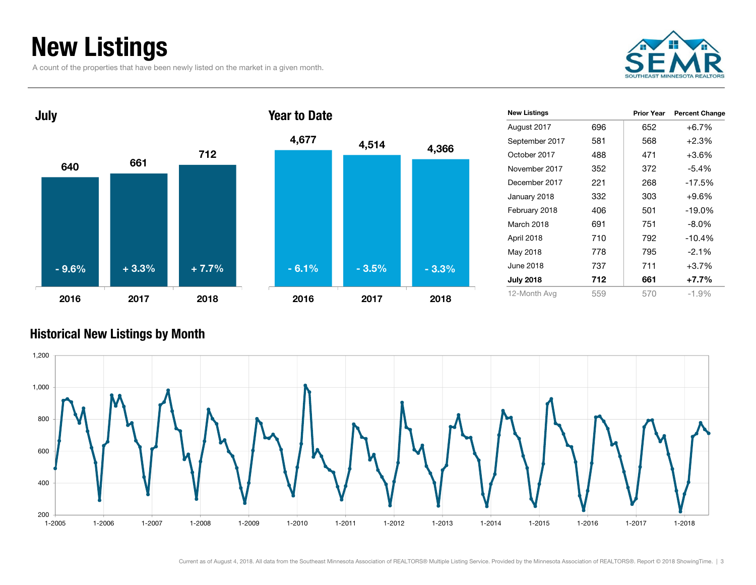### New Listings

A count of the properties that have been newly listed on the market in a given month.





| <b>New Listings</b> |     | <b>Prior Year</b> | <b>Percent Change</b> |
|---------------------|-----|-------------------|-----------------------|
| August 2017         | 696 | 652               | $+6.7%$               |
| September 2017      | 581 | 568               | $+2.3%$               |
| October 2017        | 488 | 471               | $+3.6\%$              |
| November 2017       | 352 | 372               | $-5.4%$               |
| December 2017       | 221 | 268               | $-17.5%$              |
| January 2018        | 332 | 303               | $+9.6%$               |
| February 2018       | 406 | 501               | $-19.0\%$             |
| March 2018          | 691 | 751               | $-8.0\%$              |
| April 2018          | 710 | 792               | $-10.4%$              |
| May 2018            | 778 | 795               | $-2.1%$               |
| June 2018           | 737 | 711               | $+3.7%$               |
| <b>July 2018</b>    | 712 | 661               | $+7.7%$               |
| 12-Month Avg        | 559 | 570               | $-1.9%$               |

#### Historical New Listings by Month

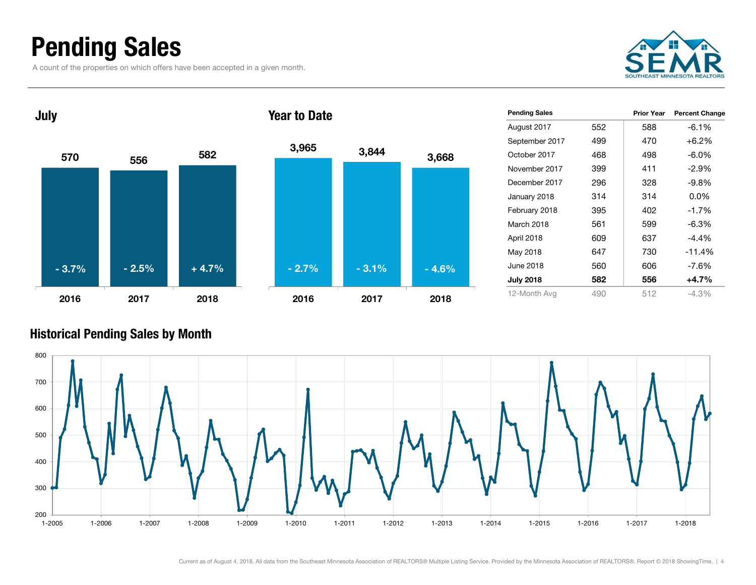### Pending Sales

A count of the properties on which offers have been accepted in a given month.





| <b>Pending Sales</b> |     | Prior Year | <b>Percent Change</b> |
|----------------------|-----|------------|-----------------------|
| August 2017          | 552 | 588        | $-6.1%$               |
| September 2017       | 499 | 470        | $+6.2%$               |
| October 2017         | 468 | 498        | $-6.0\%$              |
| November 2017        | 399 | 411        | -2.9%                 |
| December 2017        | 296 | 328        | $-9.8\%$              |
| January 2018         | 314 | 314        | $0.0\%$               |
| February 2018        | 395 | 402        | $-1.7%$               |
| March 2018           | 561 | 599        | $-6.3\%$              |
| April 2018           | 609 | 637        | $-4.4\%$              |
| May 2018             | 647 | 730        | $-11.4%$              |
| June 2018            | 560 | 606        | $-7.6\%$              |
| <b>July 2018</b>     | 582 | 556        | $+4.7%$               |
| 12-Month Avg         | 490 | 512        | $-4.3\%$              |

#### Historical Pending Sales by Month

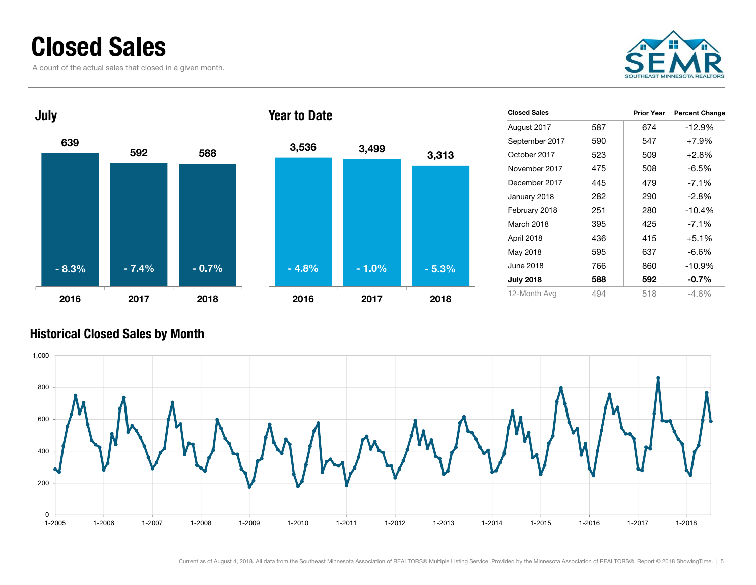### Closed Sales

A count of the actual sales that closed in a given month.





| <b>Closed Sales</b> |     | Prior Year | <b>Percent Change</b> |
|---------------------|-----|------------|-----------------------|
| August 2017         | 587 | 674        | $-12.9%$              |
| September 2017      | 590 | 547        | $+7.9%$               |
| October 2017        | 523 | 509        | $+2.8%$               |
| November 2017       | 475 | 508        | $-6.5\%$              |
| December 2017       | 445 | 479        | $-7.1\%$              |
| January 2018        | 282 | 290        | $-2.8\%$              |
| February 2018       | 251 | 280        | $-10.4%$              |
| March 2018          | 395 | 425        | $-7.1\%$              |
| April 2018          | 436 | 415        | $+5.1%$               |
| May 2018            | 595 | 637        | $-6.6\%$              |
| June 2018           | 766 | 860        | $-10.9%$              |
| <b>July 2018</b>    | 588 | 592        | $-0.7%$               |
| 12-Month Avg        | 494 | 518        | $-4.6%$               |

#### Historical Closed Sales by Month

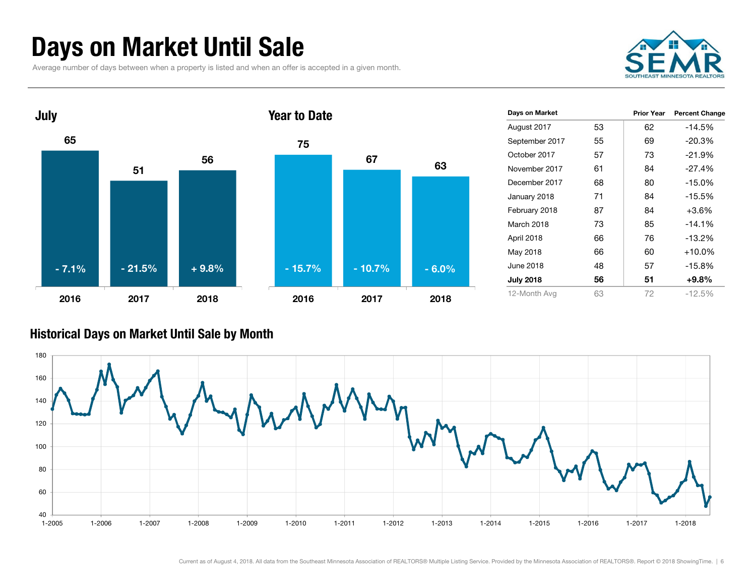### Days on Market Until Sale

Average number of days between when a property is listed and when an offer is accepted in a given month.





| Days on Market   |    | <b>Prior Year</b> | <b>Percent Change</b> |
|------------------|----|-------------------|-----------------------|
| August 2017      | 53 | 62                | $-14.5%$              |
| September 2017   | 55 | 69                | $-20.3%$              |
| October 2017     | 57 | 73                | $-21.9%$              |
| November 2017    | 61 | 84                | $-27.4%$              |
| December 2017    | 68 | 80                | $-15.0%$              |
| January 2018     | 71 | 84                | $-15.5%$              |
| February 2018    | 87 | 84                | $+3.6%$               |
| March 2018       | 73 | 85                | $-14.1%$              |
| April 2018       | 66 | 76                | -13.2%                |
| May 2018         | 66 | 60                | $+10.0\%$             |
| June 2018        | 48 | 57                | $-15.8%$              |
| <b>July 2018</b> | 56 | 51                | $+9.8%$               |
| 12-Month Avg     | 63 | 72                | $-12.5%$              |

#### Historical Days on Market Until Sale by Month

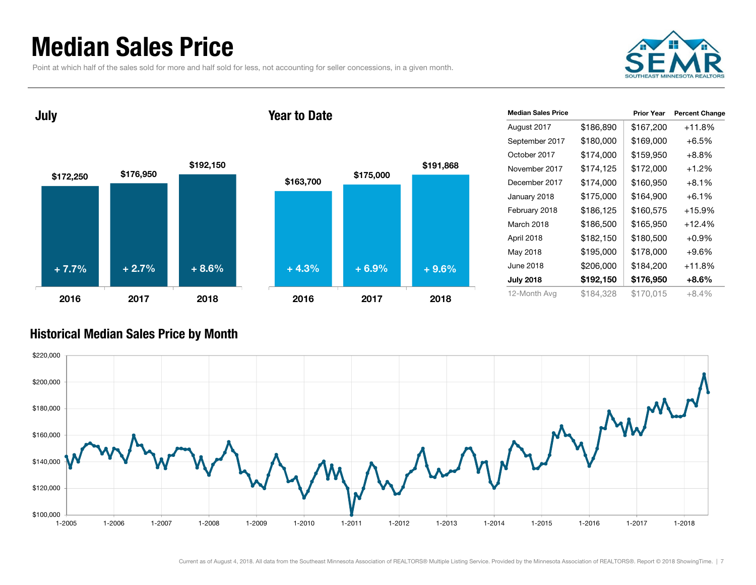### Median Sales Price

Point at which half of the sales sold for more and half sold for less, not accounting for seller concessions, in a given month.



July

#### Year to Date



| <b>Median Sales Price</b> |           | <b>Prior Year</b> | <b>Percent Change</b> |
|---------------------------|-----------|-------------------|-----------------------|
| August 2017               | \$186,890 | \$167,200         | $+11.8%$              |
| September 2017            | \$180,000 | \$169,000         | $+6.5%$               |
| October 2017              | \$174,000 | \$159,950         | $+8.8%$               |
| November 2017             | \$174,125 | \$172,000         | $+1.2%$               |
| December 2017             | \$174,000 | \$160,950         | $+8.1%$               |
| January 2018              | \$175,000 | \$164,900         | $+6.1\%$              |
| February 2018             | \$186,125 | \$160,575         | +15.9%                |
| March 2018                | \$186,500 | \$165,950         | $+12.4%$              |
| April 2018                | \$182,150 | \$180,500         | $+0.9\%$              |
| May 2018                  | \$195,000 | \$178,000         | $+9.6%$               |
| June 2018                 | \$206,000 | \$184,200         | $+11.8%$              |
| <b>July 2018</b>          | \$192,150 | \$176,950         | +8.6%                 |
| 12-Month Avg              | \$184.328 | \$170.015         | $+8.4%$               |

#### Historical Median Sales Price by Month

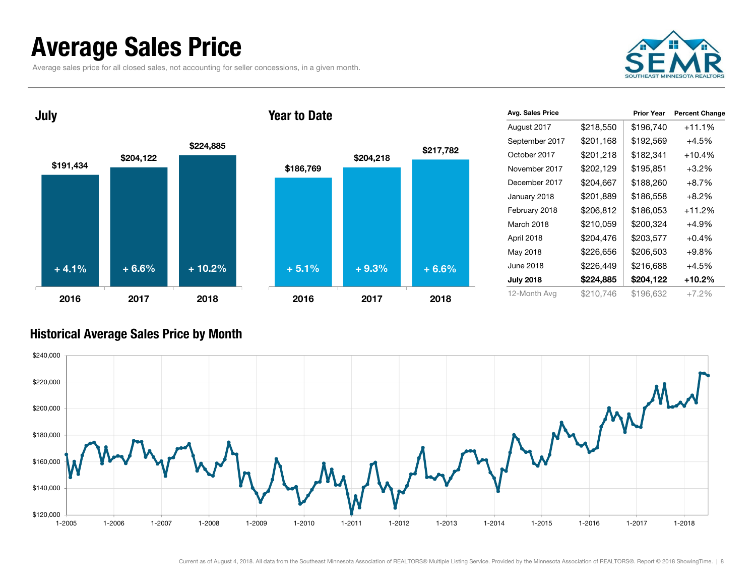### Average Sales Price

July

Average sales price for all closed sales, not accounting for seller concessions, in a given month.



 $$191,434$   $$204,122$ \$224,885 2016 2017 2018\$186,769 \$204,218 \$217,782 2016 2017 2018 $+ 4.1%$  $\%$  + 6.6% + 10.2% + 5.1% + 9.3% + 6.6%

Year to Date

| Avg. Sales Price |           | <b>Prior Year</b> | <b>Percent Change</b> |
|------------------|-----------|-------------------|-----------------------|
| August 2017      | \$218,550 | \$196,740         | $+11.1%$              |
| September 2017   | \$201,168 | \$192,569         | $+4.5%$               |
| October 2017     | \$201,218 | \$182,341         | $+10.4%$              |
| November 2017    | \$202,129 | \$195,851         | $+3.2%$               |
| December 2017    | \$204,667 | \$188,260         | $+8.7%$               |
| January 2018     | \$201,889 | \$186,558         | $+8.2\%$              |
| February 2018    | \$206,812 | \$186,053         | +11.2%                |
| March 2018       | \$210,059 | \$200,324         | $+4.9%$               |
| April 2018       | \$204,476 | \$203,577         | +0.4%                 |
| May 2018         | \$226,656 | \$206,503         | $+9.8\%$              |
| June 2018        | \$226,449 | \$216,688         | $+4.5%$               |
| <b>July 2018</b> | \$224,885 | \$204,122         | +10.2%                |
| 12-Month Avg     | \$210,746 | \$196,632         | $+7.2%$               |

#### Historical Average Sales Price by Month

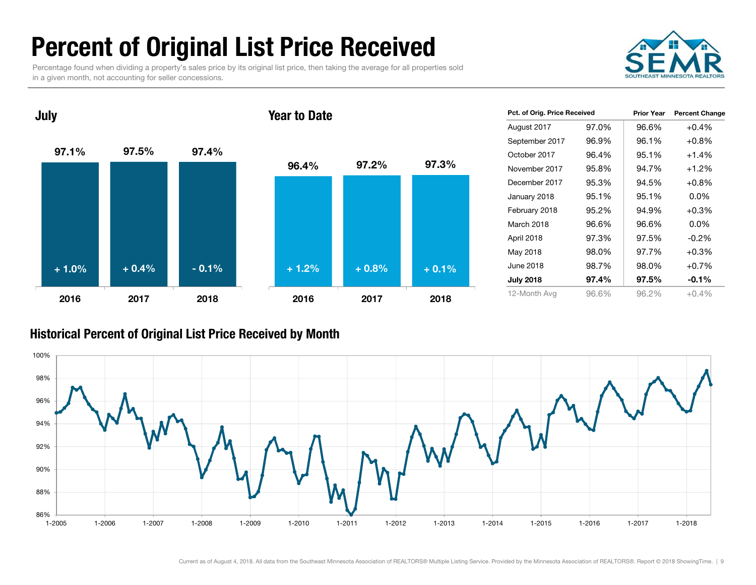### Percent of Original List Price Received

Percentage found when dividing a property's sales price by its original list price, then taking the average for all properties sold in a given month, not accounting for seller concessions.



97.1% 97.5% 97.4% 2016 2017 2018July 96.4% 97.2% 97.3% 2016 2017 2018Year to Date+ 1.0% $\%$  + 0.4% - 0.1% + 1.2% + 0.8% + 0.1%

| Pct. of Orig. Price Received |       | <b>Prior Year</b> | <b>Percent Change</b> |
|------------------------------|-------|-------------------|-----------------------|
| August 2017                  | 97.0% | 96.6%             | $+0.4%$               |
| September 2017               | 96.9% | 96.1%             | $+0.8%$               |
| October 2017                 | 96.4% | 95.1%             | $+1.4%$               |
| November 2017                | 95.8% | 94.7%             | $+1.2%$               |
| December 2017                | 95.3% | 94.5%             | $+0.8\%$              |
| January 2018                 | 95.1% | 95.1%             | $0.0\%$               |
| February 2018                | 95.2% | 94.9%             | $+0.3%$               |
| March 2018                   | 96.6% | 96.6%             | $0.0\%$               |
| April 2018                   | 97.3% | 97.5%             | $-0.2\%$              |
| May 2018                     | 98.0% | 97.7%             | $+0.3%$               |
| June 2018                    | 98.7% | 98.0%             | $+0.7%$               |
| <b>July 2018</b>             | 97.4% | 97.5%             | $-0.1%$               |
| 12-Month Avg                 | 96.6% | 96.2%             | $+0.4\%$              |

#### Historical Percent of Original List Price Received by Month

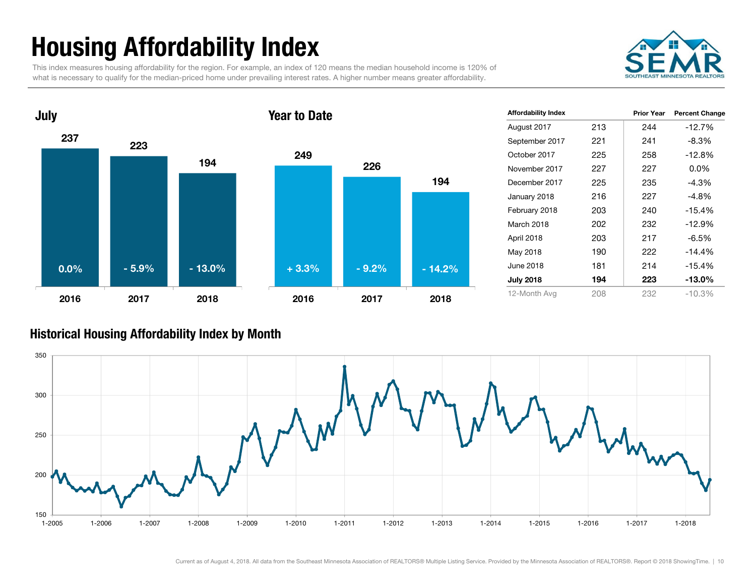## Housing Affordability Index

This index measures housing affordability for the region. For example, an index of 120 means the median household income is 120% of what is necessary to qualify for the median-priced home under prevailing interest rates. A higher number means greater affordability.





| <b>Affordability Index</b> |     | <b>Prior Year</b> | <b>Percent Change</b> |
|----------------------------|-----|-------------------|-----------------------|
| August 2017                | 213 | 244               | $-12.7%$              |
| September 2017             | 221 | 241               | $-8.3%$               |
| October 2017               | 225 | 258               | $-12.8%$              |
| November 2017              | 227 | 227               | $0.0\%$               |
| December 2017              | 225 | 235               | $-4.3%$               |
| January 2018               | 216 | 227               | -4.8%                 |
| February 2018              | 203 | 240               | $-15.4%$              |
| March 2018                 | 202 | 232               | $-12.9%$              |
| April 2018                 | 203 | 217               | -6.5%                 |
| May 2018                   | 190 | 222               | $-14.4%$              |
| June 2018                  | 181 | 214               | $-15.4%$              |
| <b>July 2018</b>           | 194 | 223               | $-13.0\%$             |
| 12-Month Avg               | 208 | 232               | $-10.3%$              |

#### Historical Housing Affordability Index by Mont h

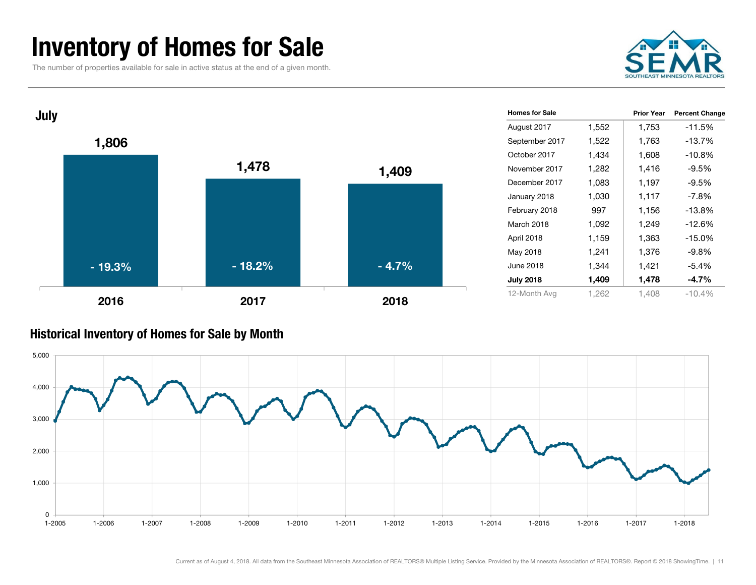### Inventory of Homes for Sale

The number of properties available for sale in active status at the end of a given month.





#### Historical Inventory of Homes for Sale by Month

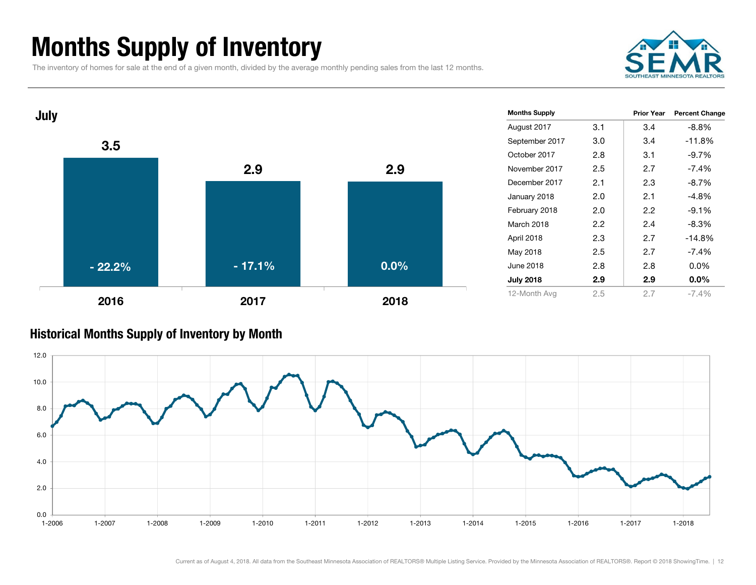### Months Supply of Inventory

The inventory of homes for sale at the end of a given month, divided by the average monthly pending sales from the last 12 months.





#### Historical Months Supply of Inventory by Month